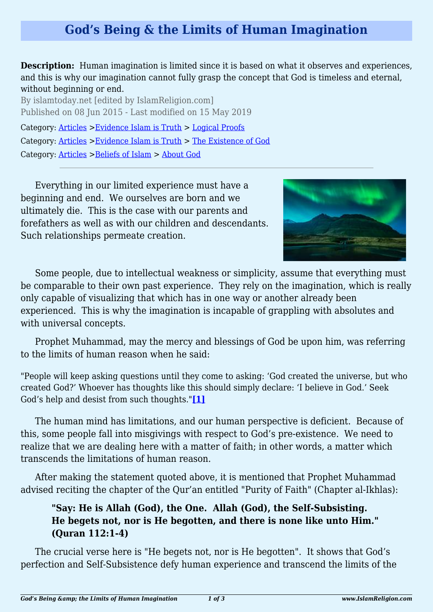## **God's Being & the Limits of Human Imagination**

**Description:** Human imagination is limited since it is based on what it observes and experiences, and this is why our imagination cannot fully grasp the concept that God is timeless and eternal, without beginning or end.

By islamtoday.net [edited by IslamReligion.com] Published on 08 Jun 2015 - Last modified on 15 May 2019

Category: [Articles](http://www.islamreligion.com/articles/) >[Evidence Islam is Truth](http://www.islamreligion.com/category/33/) > [Logical Proofs](http://www.islamreligion.com/category/116/) Category: [Articles](http://www.islamreligion.com/articles/) >[Evidence Islam is Truth](http://www.islamreligion.com/category/33/) > [The Existence of God](http://www.islamreligion.com/category/39/) Category: [Articles](http://www.islamreligion.com/articles/) >[Beliefs of Islam](http://www.islamreligion.com/category/48/) > [About God](http://www.islamreligion.com/category/51/)

Everything in our limited experience must have a beginning and end. We ourselves are born and we ultimately die. This is the case with our parents and forefathers as well as with our children and descendants. Such relationships permeate creation.



Some people, due to intellectual weakness or simplicity, assume that everything must be comparable to their own past experience. They rely on the imagination, which is really only capable of visualizing that which has in one way or another already been experienced. This is why the imagination is incapable of grappling with absolutes and with universal concepts.

Prophet Muhammad, may the mercy and blessings of God be upon him, was referring to the limits of human reason when he said:

"People will keep asking questions until they come to asking: 'God created the universe, but who created God?' Whoever has thoughts like this should simply declare: 'I believe in God.' Seek God's help and desist from such thoughts."**[\[1\]](#page-2-0)**

<span id="page-0-0"></span>The human mind has limitations, and our human perspective is deficient. Because of this, some people fall into misgivings with respect to God's pre-existence. We need to realize that we are dealing here with a matter of faith; in other words, a matter which transcends the limitations of human reason.

After making the statement quoted above, it is mentioned that Prophet Muhammad advised reciting the chapter of the Qur'an entitled "Purity of Faith" (Chapter al-Ikhlas):

## **"Say: He is Allah (God), the One. Allah (God), the Self-Subsisting. He begets not, nor is He begotten, and there is none like unto Him." (Quran 112:1-4)**

The crucial verse here is "He begets not, nor is He begotten". It shows that God's perfection and Self-Subsistence defy human experience and transcend the limits of the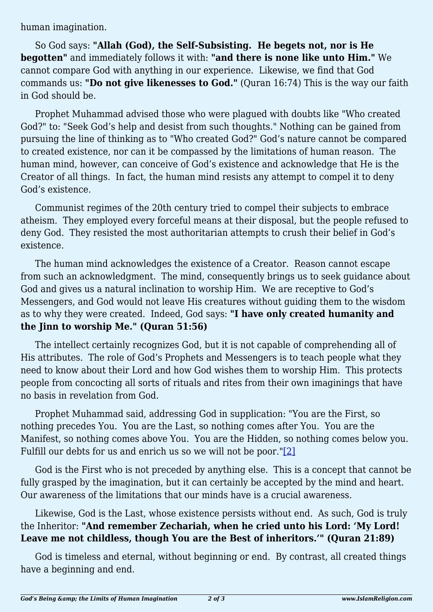human imagination.

So God says: **"Allah (God), the Self-Subsisting. He begets not, nor is He begotten"** and immediately follows it with: **"and there is none like unto Him."** We cannot compare God with anything in our experience. Likewise, we find that God commands us: **"Do not give likenesses to God."** (Quran 16:74) This is the way our faith in God should be.

Prophet Muhammad advised those who were plagued with doubts like "Who created God?" to: "Seek God's help and desist from such thoughts." Nothing can be gained from pursuing the line of thinking as to "Who created God?" God's nature cannot be compared to created existence, nor can it be compassed by the limitations of human reason. The human mind, however, can conceive of God's existence and acknowledge that He is the Creator of all things. In fact, the human mind resists any attempt to compel it to deny God's existence.

Communist regimes of the 20th century tried to compel their subjects to embrace atheism. They employed every forceful means at their disposal, but the people refused to deny God. They resisted the most authoritarian attempts to crush their belief in God's existence.

The human mind acknowledges the existence of a Creator. Reason cannot escape from such an acknowledgment. The mind, consequently brings us to seek guidance about God and gives us a natural inclination to worship Him. We are receptive to God's Messengers, and God would not leave His creatures without guiding them to the wisdom as to why they were created. Indeed, God says: **"I have only created humanity and the Jinn to worship Me." (Quran 51:56)**

The intellect certainly recognizes God, but it is not capable of comprehending all of His attributes. The role of God's Prophets and Messengers is to teach people what they need to know about their Lord and how God wishes them to worship Him. This protects people from concocting all sorts of rituals and rites from their own imaginings that have no basis in revelation from God.

Prophet Muhammad said, addressing God in supplication: "You are the First, so nothing precedes You. You are the Last, so nothing comes after You. You are the Manifest, so nothing comes above You. You are the Hidden, so nothing comes below you. Fulfill our debts for us and enrich us so we will not be poor.["\[2\]](#page-2-1)

<span id="page-1-0"></span>God is the First who is not preceded by anything else. This is a concept that cannot be fully grasped by the imagination, but it can certainly be accepted by the mind and heart. Our awareness of the limitations that our minds have is a crucial awareness.

Likewise, God is the Last, whose existence persists without end. As such, God is truly the Inheritor: **"And remember Zechariah, when he cried unto his Lord: 'My Lord! Leave me not childless, though You are the Best of inheritors.'" (Quran 21:89)**

God is timeless and eternal, without beginning or end. By contrast, all created things have a beginning and end.